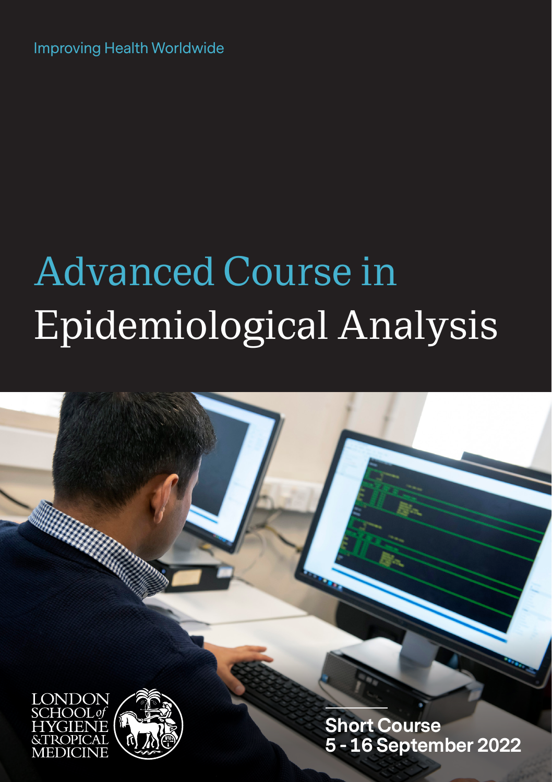Improving Health Worldwide

# Advanced Course in Epidemiological Analysis





**Short Course 5 - 16 September 2022**